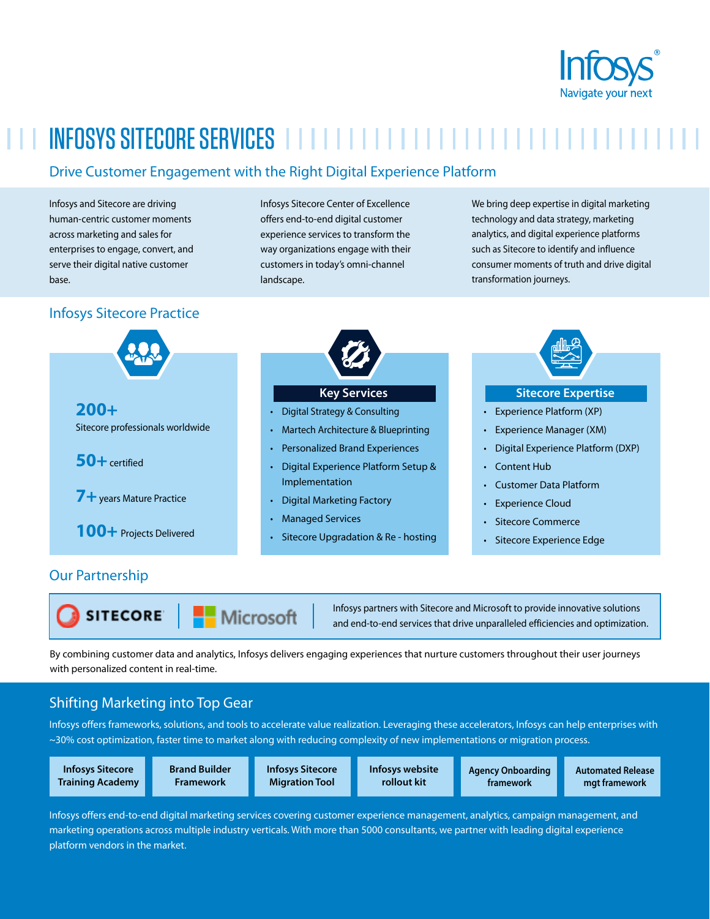

# INFOSYS SITECORE SERVICES

# Drive Customer Engagement with the Right Digital Experience Platform

Infosys and Sitecore are driving human-centric customer moments across marketing and sales for enterprises to engage, convert, and serve their digital native customer base.

# Infosys Sitecore Practice

Infosys Sitecore Center of Excellence offers end-to-end digital customer experience services to transform the way organizations engage with their customers in today's omni-channel landscape.

We bring deep expertise in digital marketing technology and data strategy, marketing analytics, and digital experience platforms such as Sitecore to identify and influence consumer moments of truth and drive digital transformation journeys.



## Our Partnership

**SITECORE** 

Microsoft

Infosys partners with Sitecore and Microsoft to provide innovative solutions and end-to-end services that drive unparalleled efficiencies and optimization.

By combining customer data and analytics, Infosys delivers engaging experiences that nurture customers throughout their user journeys with personalized content in real-time.

# Shifting Marketing into Top Gear

Infosys offers frameworks, solutions, and tools to accelerate value realization. Leveraging these accelerators, Infosys can help enterprises with ~30% cost optimization, faster time to market along with reducing complexity of new implementations or migration process.

**Infosys Sitecore Training Academy** **Brand Builder Framework**

**Infosys Sitecore Migration Tool**

**Infosys website rollout kit**

**Agency Onboarding framework**

**Automated Release mgt framework**

Infosys offers end-to-end digital marketing services covering customer experience management, analytics, campaign management, and marketing operations across multiple industry verticals. With more than 5000 consultants, we partner with leading digital experience platform vendors in the market.